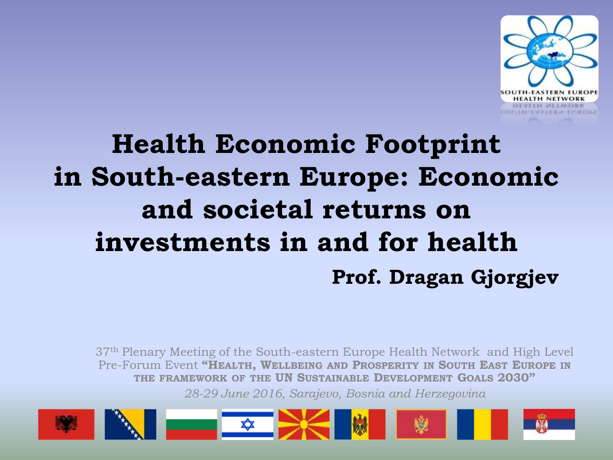

# **Health Economic Footprint in South-eastern Europe: Economic and societal returns on investments in and for health Prof. Dragan Gjorgjev**

37th Plenary Meeting of the South-eastern Europe Health Network and High Level Pre-Forum Event **"HEALTH, WELLBEING AND PROSPERITY IN SOUTH EAST EUROPE IN THE FRAMEWORK OF THE UN SUSTAINABLE DEVELOPMENT GOALS 2030"** *28-29 June 2016, Sarajevo, Bosnia and Herzegovina*

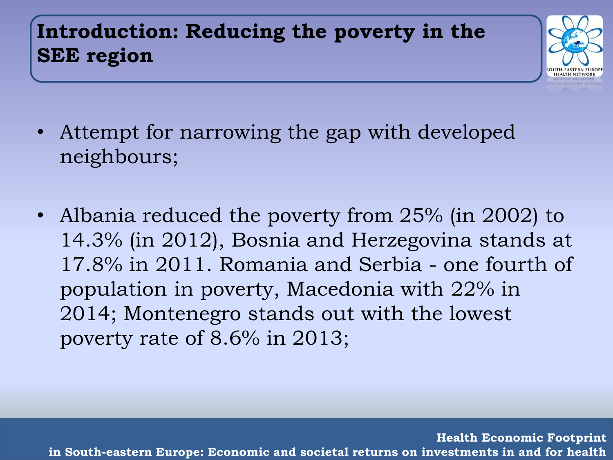# **Introduction: Reducing the poverty in the SEE region**



- Attempt for narrowing the gap with developed neighbours;
- Albania reduced the poverty from 25% (in 2002) to 14.3% (in 2012), Bosnia and Herzegovina stands at 17.8% in 2011. Romania and Serbia - one fourth of population in poverty, Macedonia with 22% in 2014; Montenegro stands out with the lowest poverty rate of 8.6% in 2013;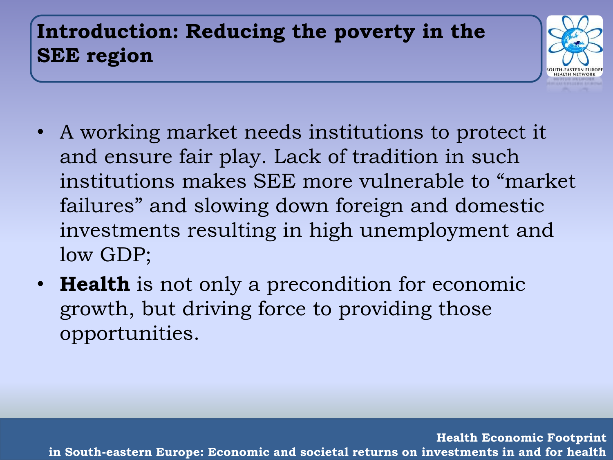# **Introduction: Reducing the poverty in the SEE region**



- A working market needs institutions to protect it and ensure fair play. Lack of tradition in such institutions makes SEE more vulnerable to "market failures" and slowing down foreign and domestic investments resulting in high unemployment and low GDP;
- **Health** is not only a precondition for economic growth, but driving force to providing those opportunities.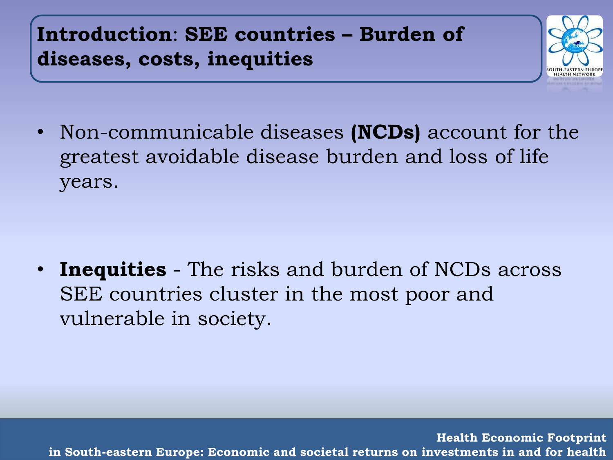**Introduction**: **SEE countries – Burden of diseases, costs, inequities** 



• Non-communicable diseases **(NCDs)** account for the greatest avoidable disease burden and loss of life years.

• **Inequities** - The risks and burden of NCDs across SEE countries cluster in the most poor and vulnerable in society.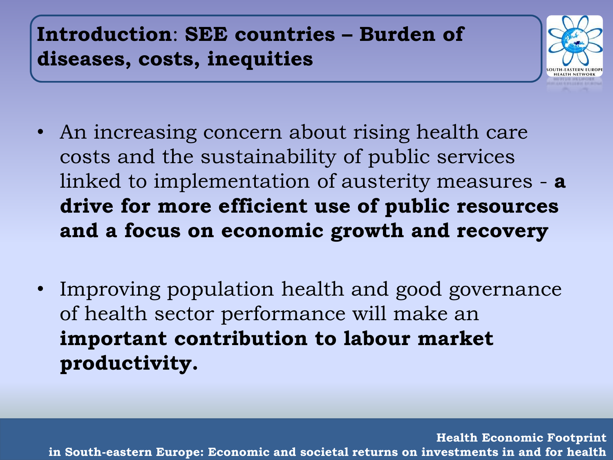**Introduction**: **SEE countries – Burden of diseases, costs, inequities** 



- An increasing concern about rising health care costs and the sustainability of public services linked to implementation of austerity measures - **a drive for more efficient use of public resources and a focus on economic growth and recovery**
- Improving population health and good governance of health sector performance will make an **important contribution to labour market productivity.**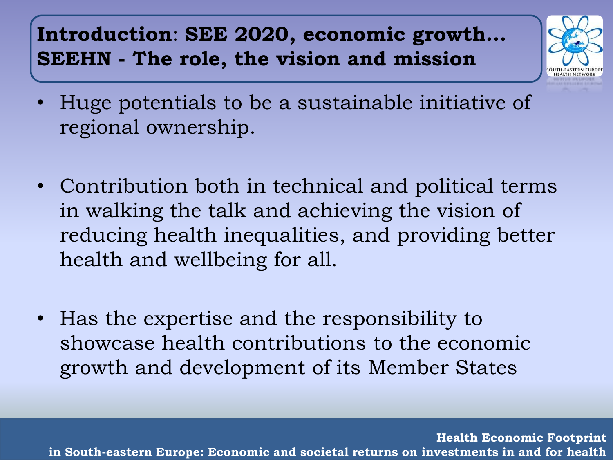#### **Introduction**: **SEE 2020, economic growth… SEEHN - The role, the vision and mission**



- Huge potentials to be a sustainable initiative of regional ownership.
- Contribution both in technical and political terms in walking the talk and achieving the vision of reducing health inequalities, and providing better health and wellbeing for all.
- Has the expertise and the responsibility to showcase health contributions to the economic growth and development of its Member States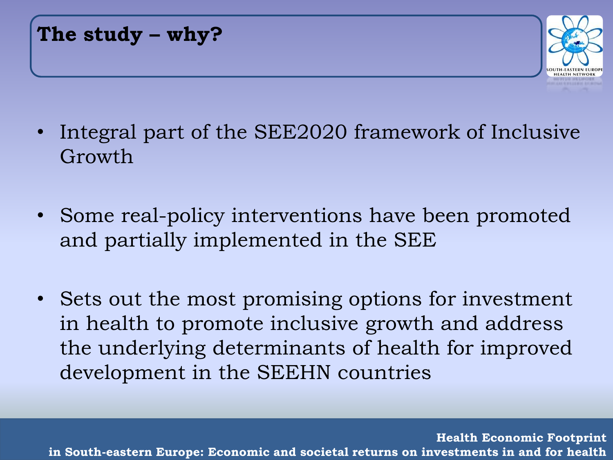**The study – why?**



- Integral part of the SEE2020 framework of Inclusive Growth
- Some real-policy interventions have been promoted and partially implemented in the SEE
- Sets out the most promising options for investment in health to promote inclusive growth and address the underlying determinants of health for improved development in the SEEHN countries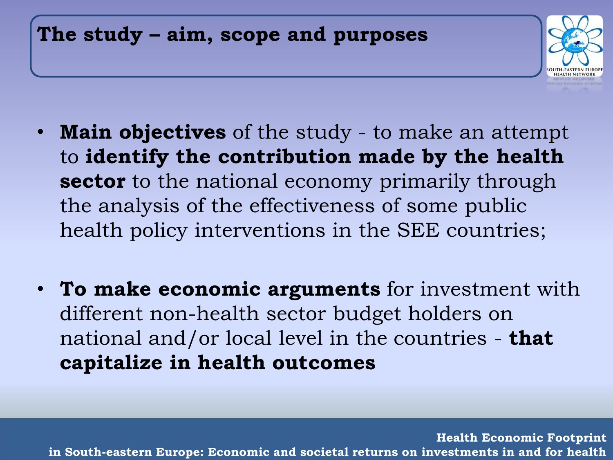#### **The study – aim, scope and purposes**



- **Main objectives** of the study to make an attempt to **identify the contribution made by the health sector** to the national economy primarily through the analysis of the effectiveness of some public health policy interventions in the SEE countries;
- **To make economic arguments** for investment with different non-health sector budget holders on national and/or local level in the countries - **that capitalize in health outcomes**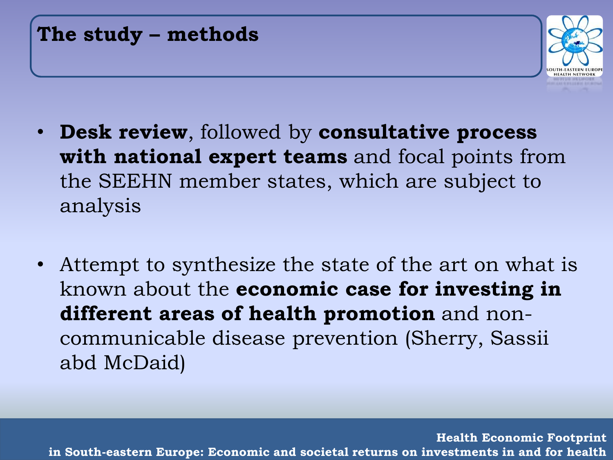| The study - methods |
|---------------------|
|                     |



- **Desk review**, followed by **consultative process with national expert teams** and focal points from the SEEHN member states, which are subject to analysis
- Attempt to synthesize the state of the art on what is known about the **economic case for investing in different areas of health promotion** and noncommunicable disease prevention (Sherry, Sassii abd McDaid)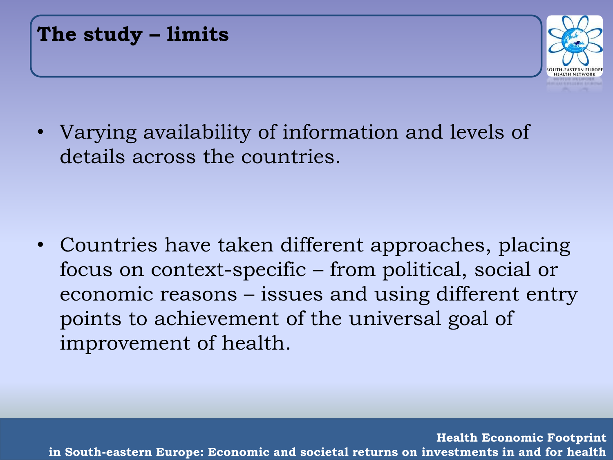**The study – limits**



• Varying availability of information and levels of details across the countries.

• Countries have taken different approaches, placing focus on context-specific – from political, social or economic reasons – issues and using different entry points to achievement of the universal goal of improvement of health.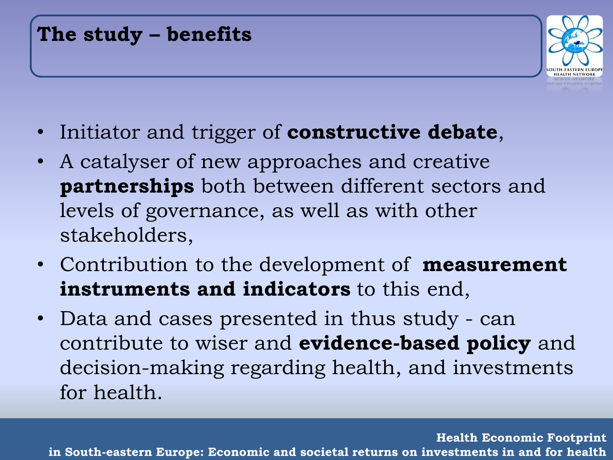#### **The study – benefits**



- Initiator and trigger of **constructive debate**,
- A catalyser of new approaches and creative **partnerships** both between different sectors and levels of governance, as well as with other stakeholders,
- Contribution to the development of **measurement instruments and indicators** to this end,
- Data and cases presented in thus study can contribute to wiser and **evidence-based policy** and decision-making regarding health, and investments for health.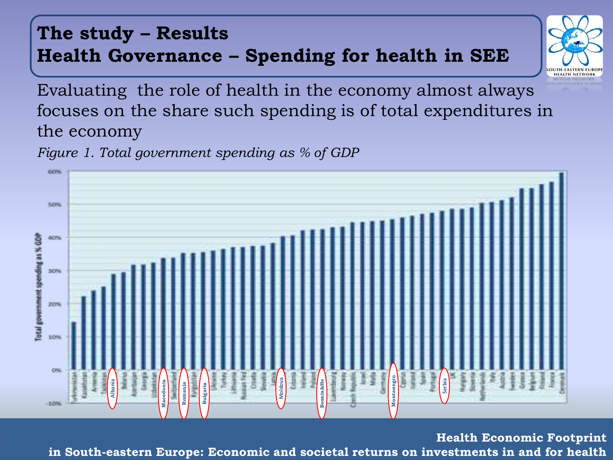#### **The study – Results Health Governance – Spending for health in SEE**



Evaluating the role of health in the economy almost always focuses on the share such spending is of total expenditures in the economy

*Figure 1. Total government spending as % of GDP*



**Health Economic Footprint**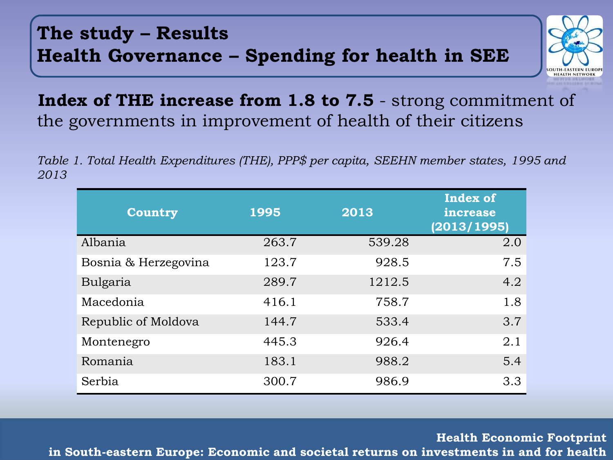#### **The study – Results Health Governance – Spending for health in SEE**



#### **Index of THE increase from 1.8 to 7.5** - strong commitment of the governments in improvement of health of their citizens

*Table 1. Total Health Expenditures (THE), PPP\$ per capita, SEEHN member states, 1995 and 2013* 

| <b>Country</b>       | 1995  | 2013   | <b>Index of</b><br>increase<br>(2013/1995) |
|----------------------|-------|--------|--------------------------------------------|
| Albania              | 263.7 | 539.28 | 2.0                                        |
| Bosnia & Herzegovina | 123.7 | 928.5  | 7.5                                        |
| Bulgaria             | 289.7 | 1212.5 | 4.2                                        |
| Macedonia            | 416.1 | 758.7  | 1.8                                        |
| Republic of Moldova  | 144.7 | 533.4  | 3.7                                        |
| Montenegro           | 445.3 | 926.4  | 2.1                                        |
| Romania              | 183.1 | 988.2  | 5.4                                        |
| Serbia               | 300.7 | 986.9  | 3.3                                        |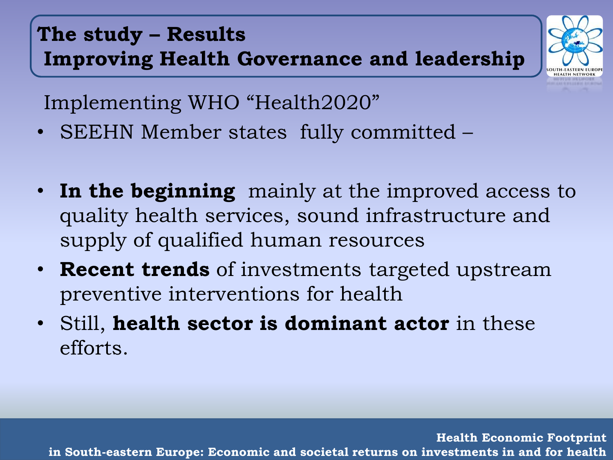# **The study – Results Improving Health Governance and leadership**



Implementing WHO "Health2020"

- SEEHN Member states fully committed –
- **In the beginning** mainly at the improved access to quality health services, sound infrastructure and supply of qualified human resources
- **Recent trends** of investments targeted upstream preventive interventions for health
- Still, **health sector is dominant actor** in these efforts.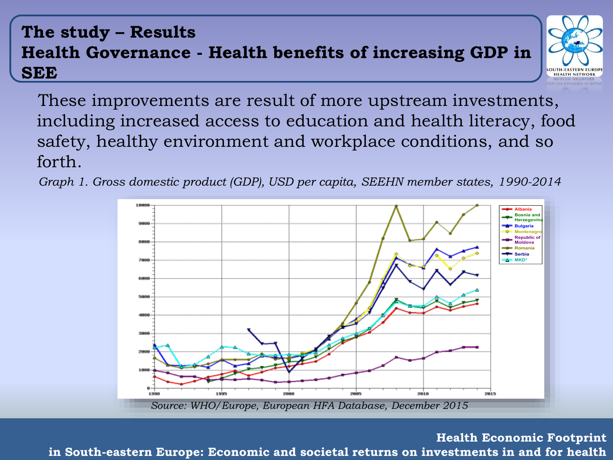#### **The study – Results Health Governance - Health benefits of increasing GDP in SEE**



These improvements are result of more upstream investments, including increased access to education and health literacy, food safety, healthy environment and workplace conditions, and so forth.

Graph 1. Gross domestic product (GDP), USD per capita, SEEHN member states, 1990-2014

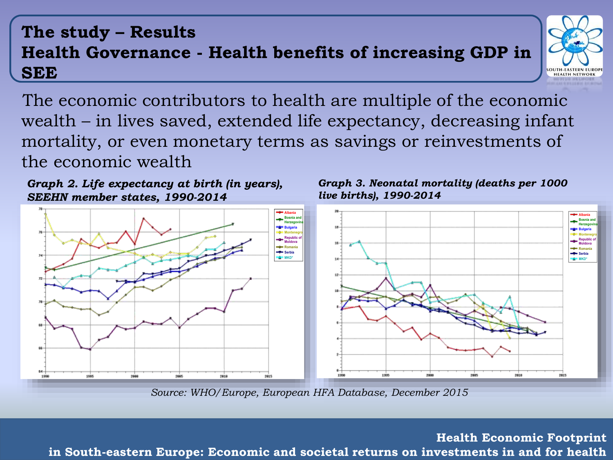#### **The study – Results Health Governance - Health benefits of increasing GDP in SEE**



The economic contributors to health are multiple of the economic wealth – in lives saved, extended life expectancy, decreasing infant mortality, or even monetary terms as savings or reinvestments of the economic wealth

SEEHN member states, 1990-2014 Graph 2. Life expectancy at birth (in years),



 $\overline{a}$  deaths per 1000 live births per 1000 live births per 1000 live births per 1000 live births per 1000 live births per 1000 live births per 1000 live births per 1000 live births per 1000 live births per 1000 live bi *live births), 1990-2014 Graph 3. Neonatal mortality (deaths per 1000* 



*Source: WHO/Europe, European HFA Database, December 2015*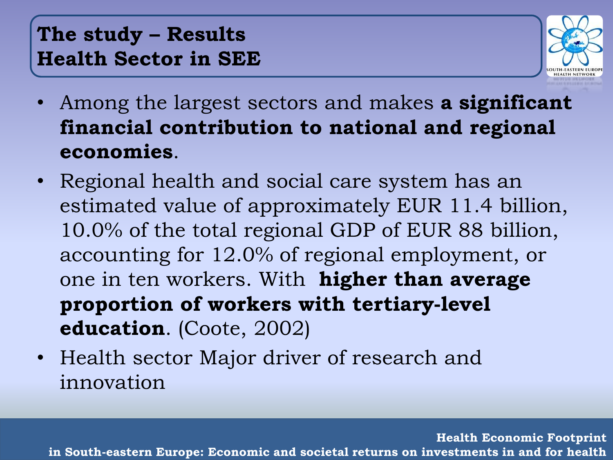#### **The study – Results Health Sector in SEE**



- Among the largest sectors and makes **a significant financial contribution to national and regional economies**.
- Regional health and social care system has an estimated value of approximately EUR 11.4 billion, 10.0% of the total regional GDP of EUR 88 billion, accounting for 12.0% of regional employment, or one in ten workers. With **higher than average proportion of workers with tertiary-level education**. (Coote, 2002)
- Health sector Major driver of research and innovation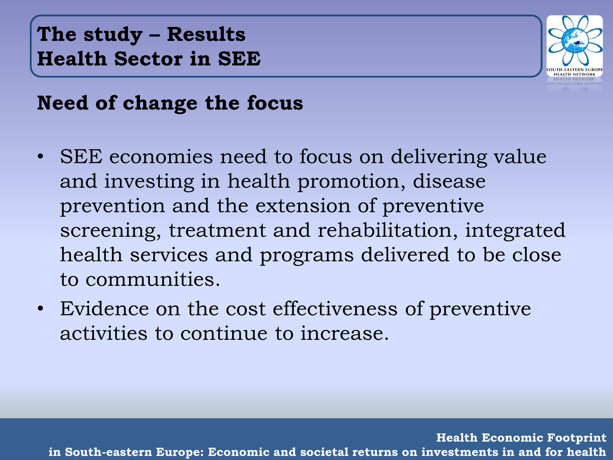**The study – Results Health Sector in SEE**



#### **Need of change the focus**

- SEE economies need to focus on delivering value and investing in health promotion, disease prevention and the extension of preventive screening, treatment and rehabilitation, integrated health services and programs delivered to be close to communities.
- Evidence on the cost effectiveness of preventive activities to continue to increase.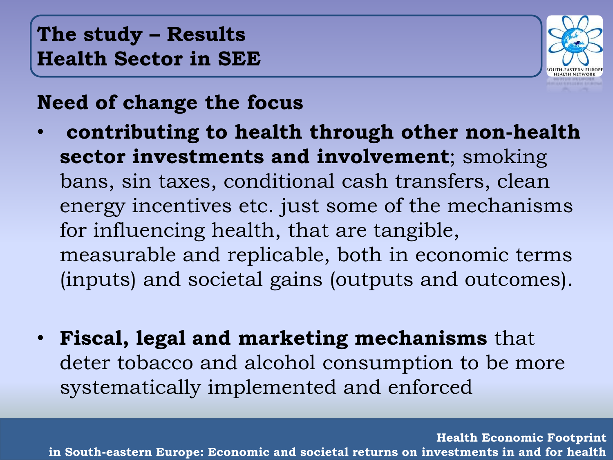#### **The study – Results Health Sector in SEE**



#### **Need of change the focus**

- **contributing to health through other non-health sector investments and involvement**; smoking bans, sin taxes, conditional cash transfers, clean energy incentives etc. just some of the mechanisms for influencing health, that are tangible, measurable and replicable, both in economic terms (inputs) and societal gains (outputs and outcomes).
- **Fiscal, legal and marketing mechanisms** that deter tobacco and alcohol consumption to be more systematically implemented and enforced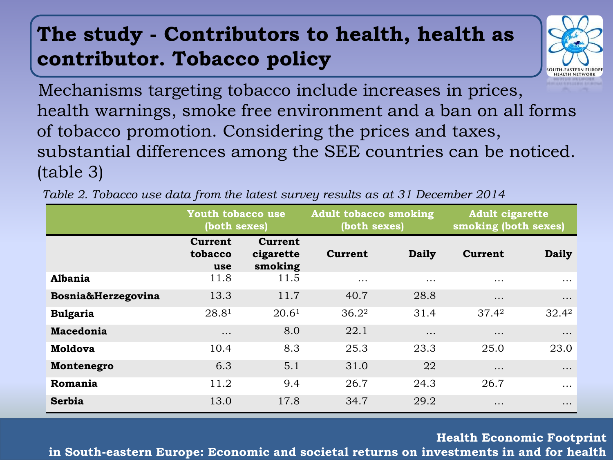### **The study - Contributors to health, health as contributor. Tobacco policy**



Mechanisms targeting tobacco include increases in prices, health warnings, smoke free environment and a ban on all forms of tobacco promotion. Considering the prices and taxes, substantial differences among the SEE countries can be noticed. (table 3)

|                    | Youth tobacco use<br>(both sexes) |                                        | <b>Adult tobacco smoking</b><br>(both sexes) |              | <b>Adult cigarette</b><br>smoking (both sexes) |          |
|--------------------|-----------------------------------|----------------------------------------|----------------------------------------------|--------------|------------------------------------------------|----------|
|                    | Current<br>tobacco<br>use         | <b>Current</b><br>cigarette<br>smoking | <b>Current</b>                               | <b>Daily</b> | <b>Current</b>                                 | Daily    |
| Albania            | 11.8                              | 11.5                                   | $\cdots$                                     | $\cdots$     | $\cdots$                                       | $\cdots$ |
| Bosnia&Herzegovina | 13.3                              | 11.7                                   | 40.7                                         | 28.8         | $\cdots$                                       | $\cdots$ |
| <b>Bulgaria</b>    | 28.8 <sup>1</sup>                 | 20.6 <sup>1</sup>                      | $36.2^2$                                     | 31.4         | $37.4^2$                                       | $32.4^2$ |
| Macedonia          | $\cdots$                          | 8.0                                    | 22.1                                         | $\cdots$     | $\cdots$                                       | $\cdots$ |
| <b>Moldova</b>     | 10.4                              | 8.3                                    | 25.3                                         | 23.3         | 25.0                                           | 23.0     |
| Montenegro         | 6.3                               | 5.1                                    | 31.0                                         | 22           | $\cdots$                                       | $\cdots$ |
| Romania            | 11.2                              | 9.4                                    | 26.7                                         | 24.3         | 26.7                                           | $\cdots$ |
| Serbia             | 13.0                              | 17.8                                   | 34.7                                         | 29.2         | $\cdots$                                       | $\cdots$ |

*Table 2. Tobacco use data from the latest survey results as at 31 December 2014*

**Health Economic Footprint** 

**in South-eastern Europe: Economic and societal returns on investments in and for health**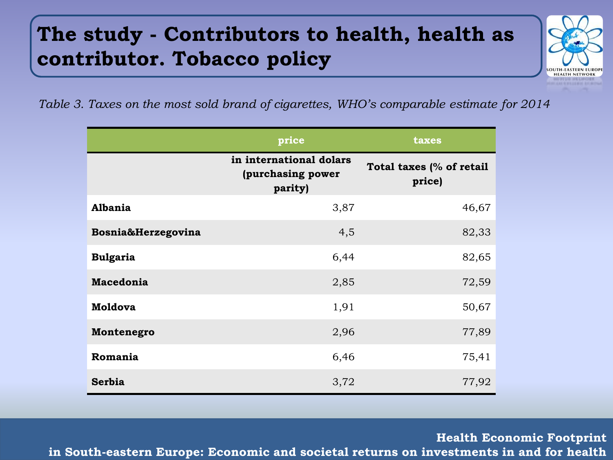# **The study - Contributors to health, health as contributor. Tobacco policy**



*Table 3. Taxes on the most sold brand of cigarettes, WHO's comparable estimate for 2014*

|                    | price                                                   | taxes                              |  |  |
|--------------------|---------------------------------------------------------|------------------------------------|--|--|
|                    | in international dolars<br>(purchasing power<br>parity) | Total taxes (% of retail<br>price) |  |  |
| Albania            | 3,87                                                    | 46,67                              |  |  |
| Bosnia&Herzegovina | 4,5                                                     | 82,33                              |  |  |
| <b>Bulgaria</b>    | 6,44                                                    | 82,65                              |  |  |
| <b>Macedonia</b>   | 2,85                                                    | 72,59                              |  |  |
| <b>Moldova</b>     | 1,91                                                    | 50,67                              |  |  |
| Montenegro         | 2,96                                                    | 77,89                              |  |  |
| Romania            | 6,46                                                    | 75,41                              |  |  |
| Serbia             | 3,72                                                    | 77,92                              |  |  |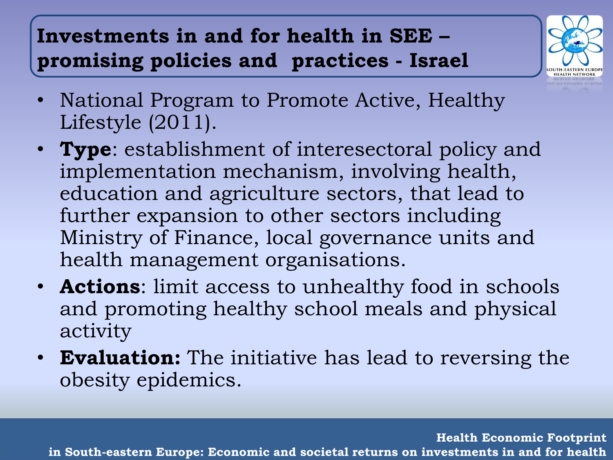# **Investments in and for health in SEE – promising policies and practices - Israel**



- National Program to Promote Active, Healthy Lifestyle (2011).
- **Type**: establishment of interesectoral policy and implementation mechanism, involving health, education and agriculture sectors, that lead to further expansion to other sectors including Ministry of Finance, local governance units and health management organisations.
- **Actions**: limit access to unhealthy food in schools and promoting healthy school meals and physical activity
- **Evaluation:** The initiative has lead to reversing the obesity epidemics.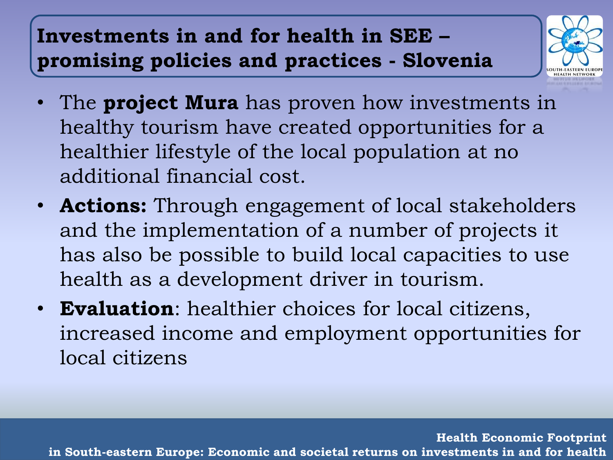# **Investments in and for health in SEE – promising policies and practices - Slovenia**



- The **project Mura** has proven how investments in healthy tourism have created opportunities for a healthier lifestyle of the local population at no additional financial cost.
- **Actions:** Through engagement of local stakeholders and the implementation of a number of projects it has also be possible to build local capacities to use health as a development driver in tourism.
- **Evaluation**: healthier choices for local citizens, increased income and employment opportunities for local citizens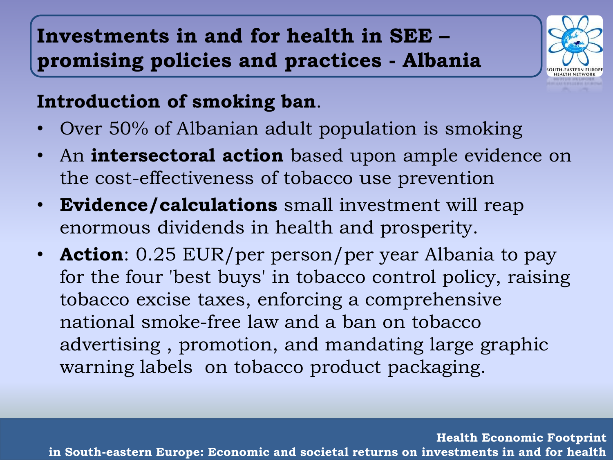## **Investments in and for health in SEE – promising policies and practices - Albania**



#### **Introduction of smoking ban**.

- Over 50% of Albanian adult population is smoking
- An **intersectoral action** based upon ample evidence on the cost-effectiveness of tobacco use prevention
- **Evidence/calculations** small investment will reap enormous dividends in health and prosperity.
- **Action**: 0.25 EUR/per person/per year Albania to pay for the four 'best buys' in tobacco control policy, raising tobacco excise taxes, enforcing a comprehensive national smoke-free law and a ban on tobacco advertising , promotion, and mandating large graphic warning labels on tobacco product packaging.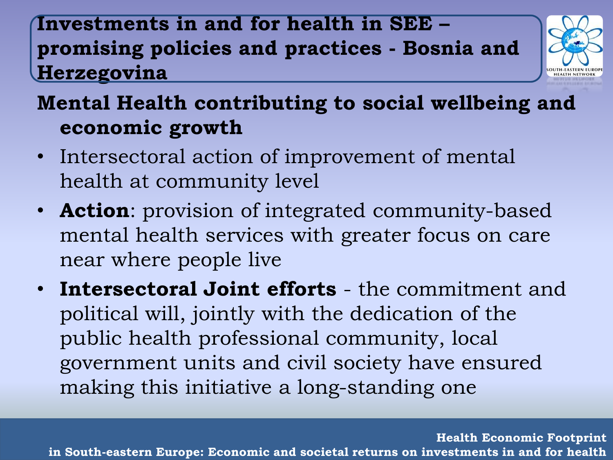### **Investments in and for health in SEE – promising policies and practices - Bosnia and Herzegovina**



# **Mental Health contributing to social wellbeing and economic growth**

- Intersectoral action of improvement of mental health at community level
- **Action**: provision of integrated community-based mental health services with greater focus on care near where people live
- **Intersectoral Joint efforts**  the commitment and political will, jointly with the dedication of the public health professional community, local government units and civil society have ensured making this initiative a long-standing one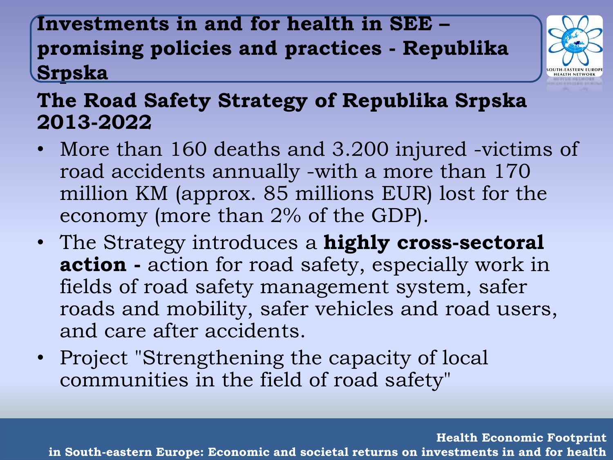### **Investments in and for health in SEE – promising policies and practices - Republika Srpska**



#### **The Road Safety Strategy of Republika Srpska 2013-2022**

- More than 160 deaths and 3.200 injured -victims of road accidents annually -with a more than 170 million KM (approx. 85 millions EUR) lost for the economy (more than 2% of the GDP).
- The Strategy introduces a **highly cross-sectoral action -** action for road safety, especially work in fields of road safety management system, safer roads and mobility, safer vehicles and road users, and care after accidents.
- Project "Strengthening the capacity of local communities in the field of road safety"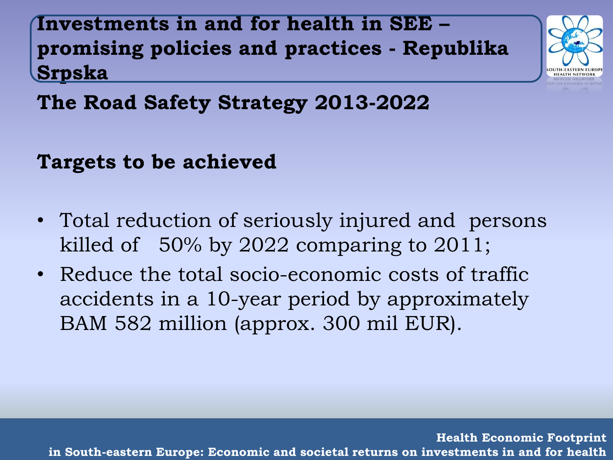**Investments in and for health in SEE – promising policies and practices - Republika Srpska**



**The Road Safety Strategy 2013-2022**

#### **Targets to be achieved**

- Total reduction of seriously injured and persons killed of 50% by 2022 comparing to 2011;
- Reduce the total socio-economic costs of traffic accidents in a 10-year period by approximately BAM 582 million (approx. 300 mil EUR).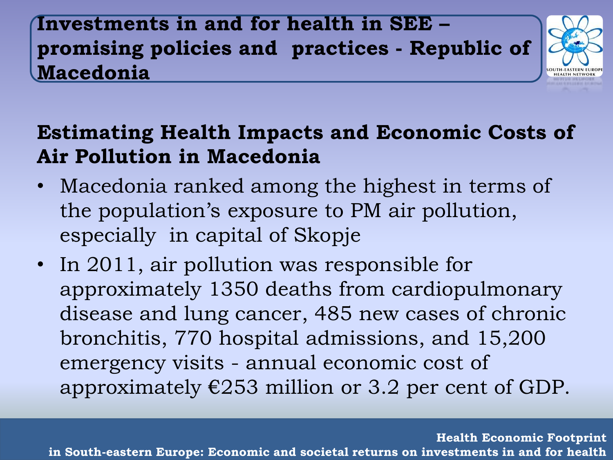### **Investments in and for health in SEE – promising policies and practices - Republic of Macedonia**



### **Estimating Health Impacts and Economic Costs of Air Pollution in Macedonia**

- Macedonia ranked among the highest in terms of the population's exposure to PM air pollution, especially in capital of Skopje
- In 2011, air pollution was responsible for approximately 1350 deaths from cardiopulmonary disease and lung cancer, 485 new cases of chronic bronchitis, 770 hospital admissions, and 15,200 emergency visits - annual economic cost of approximately  $\epsilon$ 253 million or 3.2 per cent of GDP.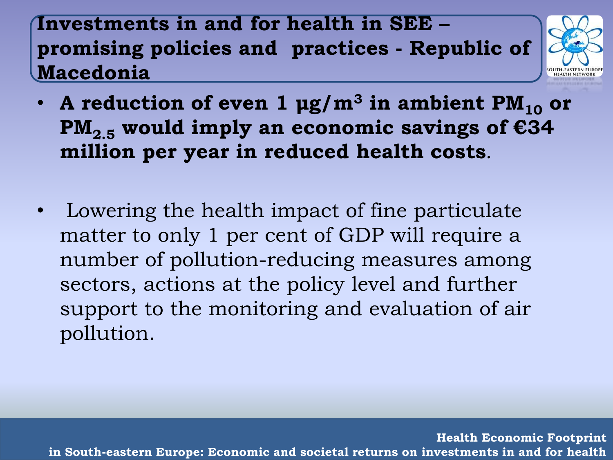**Investments in and for health in SEE – promising policies and practices - Republic of Macedonia**



- A reduction of even  $1 \mu g/m^3$  in ambient  $PM_{10}$  or  $PM_{2,5}$  would imply an economic savings of  $E34$ **million per year in reduced health costs**.
- Lowering the health impact of fine particulate matter to only 1 per cent of GDP will require a number of pollution-reducing measures among sectors, actions at the policy level and further support to the monitoring and evaluation of air pollution.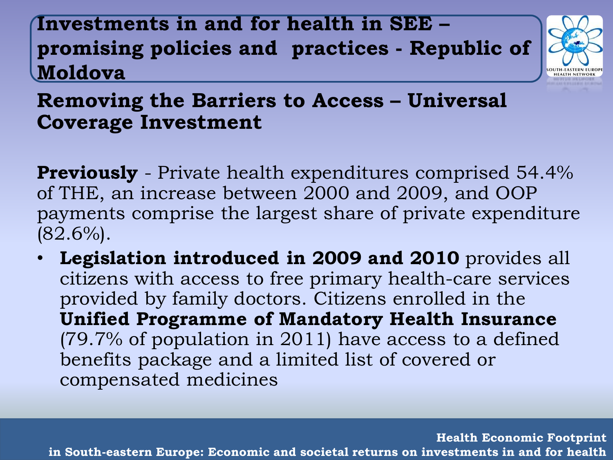**Investments in and for health in SEE – promising policies and practices - Republic of Moldova**



#### **Removing the Barriers to Access – Universal Coverage Investment**

**Previously** - Private health expenditures comprised 54.4% of THE, an increase between 2000 and 2009, and OOP payments comprise the largest share of private expenditure  $(82.6\%)$ .

• **Legislation introduced in 2009 and 2010** provides all citizens with access to free primary health-care services provided by family doctors. Citizens enrolled in the **Unified Programme of Mandatory Health Insurance** (79.7% of population in 2011) have access to a defined benefits package and a limited list of covered or compensated medicines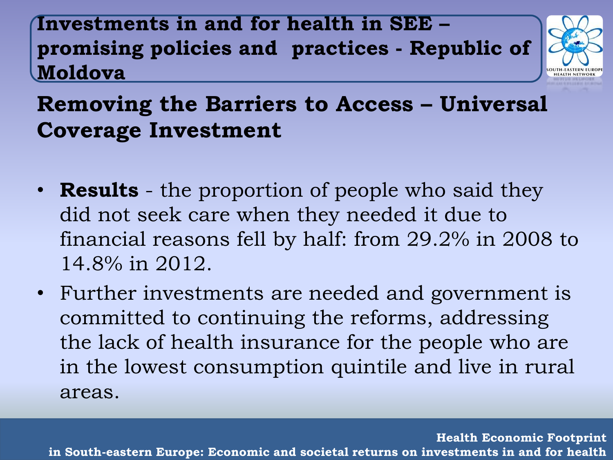**Investments in and for health in SEE – promising policies and practices - Republic of Moldova**



# **Removing the Barriers to Access – Universal Coverage Investment**

- **Results** the proportion of people who said they did not seek care when they needed it due to financial reasons fell by half: from 29.2% in 2008 to 14.8% in 2012.
- Further investments are needed and government is committed to continuing the reforms, addressing the lack of health insurance for the people who are in the lowest consumption quintile and live in rural areas.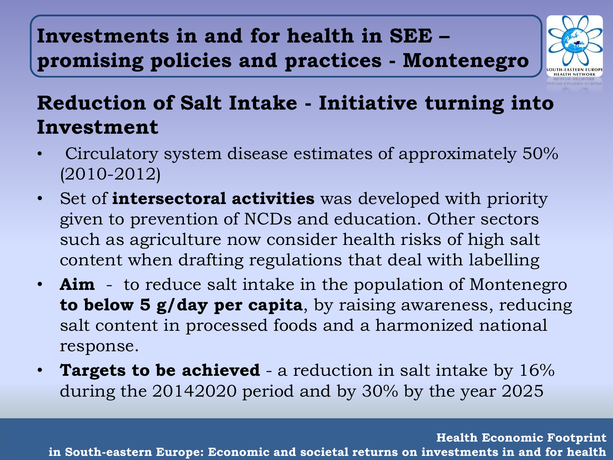# **Investments in and for health in SEE – promising policies and practices - Montenegro**



### **Reduction of Salt Intake - Initiative turning into Investment**

- Circulatory system disease estimates of approximately 50% (2010-2012)
- Set of **intersectoral activities** was developed with priority given to prevention of NCDs and education. Other sectors such as agriculture now consider health risks of high salt content when drafting regulations that deal with labelling
- **Aim** to reduce salt intake in the population of Montenegro **to below 5 g/day per capita**, by raising awareness, reducing salt content in processed foods and a harmonized national response.
- **Targets to be achieved** a reduction in salt intake by 16% during the 20142020 period and by 30% by the year 2025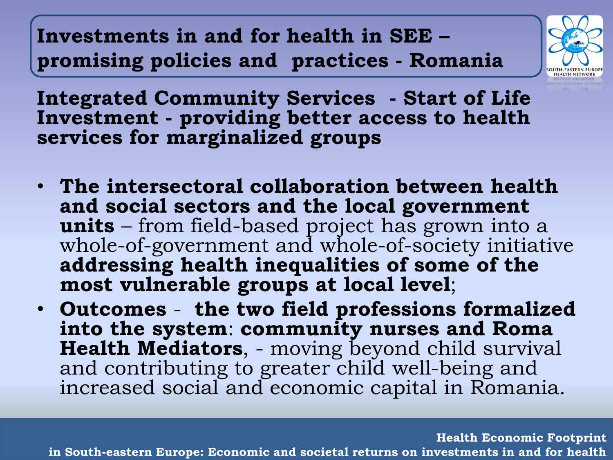**Investments in and for health in SEE – promising policies and practices - Romania**



**Integrated Community Services - Start of Life Investment - providing better access to health services for marginalized groups**

- **The intersectoral collaboration between health and social sectors and the local government units** – from field-based project has grown into a whole-of-government and whole-of-society initiative **addressing health inequalities of some of the most vulnerable groups at local level**;
- **Outcomes the two field professions formalized into the system**: **community nurses and Roma Health Mediators**, - moving beyond child survival and contributing to greater child well-being and increased social and economic capital in Romania.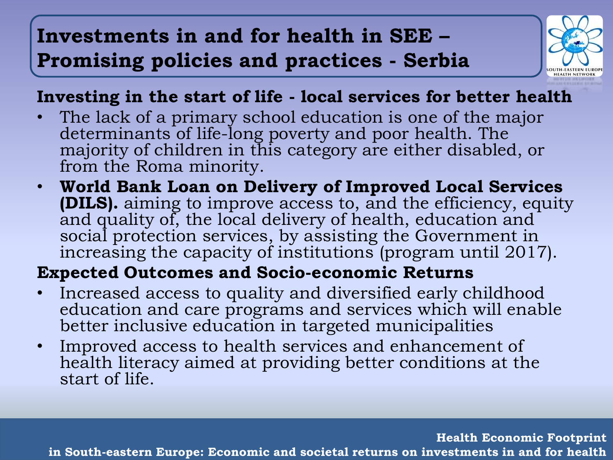## **Investments in and for health in SEE – Promising policies and practices - Serbia**



#### **Investing in the start of life - local services for better health**

- The lack of a primary school education is one of the major determinants of life-long poverty and poor health. The majority of children in this category are either disabled, or from the Roma minority.
- **World Bank Loan on Delivery of Improved Local Services (DILS).** aiming to improve access to, and the efficiency, equity and quality of, the local delivery of health, education and social protection services, by assisting the Government in increasing the capacity of institutions (program until 2017).

#### **Expected Outcomes and Socio-economic Returns**

- Increased access to quality and diversified early childhood education and care programs and services which will enable better inclusive education in targeted municipalities
- Improved access to health services and enhancement of health literacy aimed at providing better conditions at the start of life.